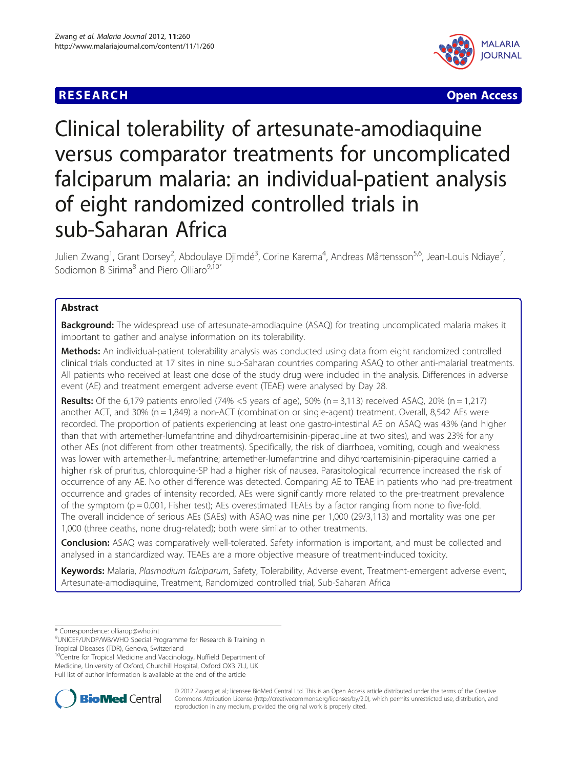# **RESEARCH CHE CHE Open Access**



# Clinical tolerability of artesunate-amodiaquine versus comparator treatments for uncomplicated falciparum malaria: an individual-patient analysis of eight randomized controlled trials in sub-Saharan Africa

Julien Zwang<sup>1</sup>, Grant Dorsey<sup>2</sup>, Abdoulaye Djimdé<sup>3</sup>, Corine Karema<sup>4</sup>, Andreas Mårtensson<sup>5,6</sup>, Jean-Louis Ndiaye<sup>7</sup> , Sodiomon B Sirima<sup>8</sup> and Piero Olliaro<sup>9,10\*</sup>

# Abstract

**Background:** The widespread use of artesunate-amodiaquine (ASAQ) for treating uncomplicated malaria makes it important to gather and analyse information on its tolerability.

Methods: An individual-patient tolerability analysis was conducted using data from eight randomized controlled clinical trials conducted at 17 sites in nine sub-Saharan countries comparing ASAQ to other anti-malarial treatments. All patients who received at least one dose of the study drug were included in the analysis. Differences in adverse event (AE) and treatment emergent adverse event (TEAE) were analysed by Day 28.

**Results:** Of the 6,179 patients enrolled (74% <5 years of age), 50% (n = 3,113) received ASAQ, 20% (n = 1,217) another ACT, and 30% ( $n = 1,849$ ) a non-ACT (combination or single-agent) treatment. Overall, 8,542 AEs were recorded. The proportion of patients experiencing at least one gastro-intestinal AE on ASAQ was 43% (and higher than that with artemether-lumefantrine and dihydroartemisinin-piperaquine at two sites), and was 23% for any other AEs (not different from other treatments). Specifically, the risk of diarrhoea, vomiting, cough and weakness was lower with artemether-lumefantrine; artemether-lumefantrine and dihydroartemisinin-piperaquine carried a higher risk of pruritus, chloroquine-SP had a higher risk of nausea. Parasitological recurrence increased the risk of occurrence of any AE. No other difference was detected. Comparing AE to TEAE in patients who had pre-treatment occurrence and grades of intensity recorded, AEs were significantly more related to the pre-treatment prevalence of the symptom (p = 0.001, Fisher test); AEs overestimated TEAEs by a factor ranging from none to five-fold. The overall incidence of serious AEs (SAEs) with ASAQ was nine per 1,000 (29/3,113) and mortality was one per 1,000 (three deaths, none drug-related); both were similar to other treatments.

**Conclusion:** ASAQ was comparatively well-tolerated. Safety information is important, and must be collected and analysed in a standardized way. TEAEs are a more objective measure of treatment-induced toxicity.

Keywords: Malaria, Plasmodium falciparum, Safety, Tolerability, Adverse event, Treatment-emergent adverse event, Artesunate-amodiaquine, Treatment, Randomized controlled trial, Sub-Saharan Africa

\* Correspondence: [olliarop@who.int](mailto:olliarop@who.int) <sup>9</sup>

<sup>10</sup>Centre for Tropical Medicine and Vaccinology, Nuffield Department of Medicine, University of Oxford, Churchill Hospital, Oxford OX3 7LJ, UK

Full list of author information is available at the end of the article



© 2012 Zwang et al.; licensee BioMed Central Ltd. This is an Open Access article distributed under the terms of the Creative Commons Attribution License [\(http://creativecommons.org/licenses/by/2.0\)](http://creativecommons.org/licenses/by/2.0), which permits unrestricted use, distribution, and reproduction in any medium, provided the original work is properly cited.

UNICEF/UNDP/WB/WHO Special Programme for Research & Training in Tropical Diseases (TDR), Geneva, Switzerland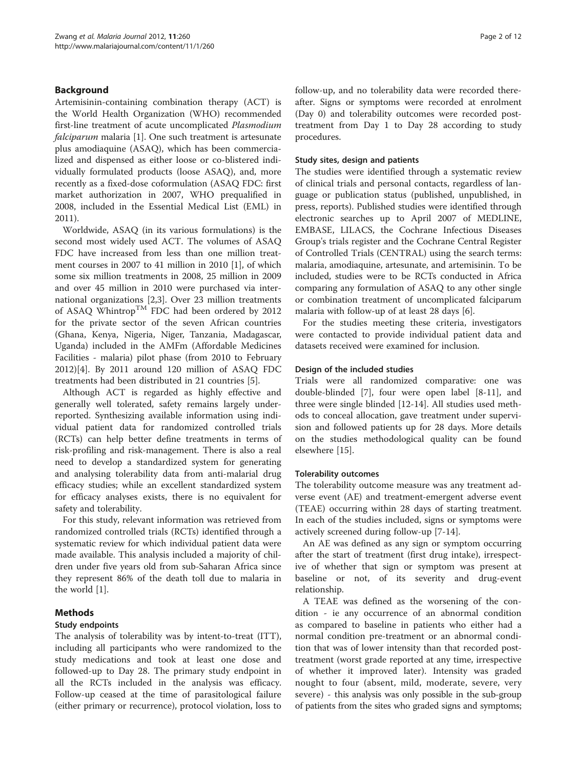# Background

Artemisinin-containing combination therapy (ACT) is the World Health Organization (WHO) recommended first-line treatment of acute uncomplicated Plasmodium falciparum malaria [[1\]](#page-10-0). One such treatment is artesunate plus amodiaquine (ASAQ), which has been commercialized and dispensed as either loose or co-blistered individually formulated products (loose ASAQ), and, more recently as a fixed-dose coformulation (ASAQ FDC: first market authorization in 2007, WHO prequalified in 2008, included in the Essential Medical List (EML) in 2011).

Worldwide, ASAQ (in its various formulations) is the second most widely used ACT. The volumes of ASAQ FDC have increased from less than one million treatment courses in 2007 to 41 million in 2010 [[1\]](#page-10-0), of which some six million treatments in 2008, 25 million in 2009 and over 45 million in 2010 were purchased via international organizations [\[2,3](#page-10-0)]. Over 23 million treatments of ASAQ Whintrop<sup>TM</sup> FDC had been ordered by 2012 for the private sector of the seven African countries (Ghana, Kenya, Nigeria, Niger, Tanzania, Madagascar, Uganda) included in the AMFm (Affordable Medicines Facilities - malaria) pilot phase (from 2010 to February 2012)[[4\]](#page-10-0). By 2011 around 120 million of ASAQ FDC treatments had been distributed in 21 countries [\[5](#page-10-0)].

Although ACT is regarded as highly effective and generally well tolerated, safety remains largely underreported. Synthesizing available information using individual patient data for randomized controlled trials (RCTs) can help better define treatments in terms of risk-profiling and risk-management. There is also a real need to develop a standardized system for generating and analysing tolerability data from anti-malarial drug efficacy studies; while an excellent standardized system for efficacy analyses exists, there is no equivalent for safety and tolerability.

For this study, relevant information was retrieved from randomized controlled trials (RCTs) identified through a systematic review for which individual patient data were made available. This analysis included a majority of children under five years old from sub-Saharan Africa since they represent 86% of the death toll due to malaria in the world [\[1\]](#page-10-0).

## Methods

## Study endpoints

The analysis of tolerability was by intent-to-treat (ITT), including all participants who were randomized to the study medications and took at least one dose and followed-up to Day 28. The primary study endpoint in all the RCTs included in the analysis was efficacy. Follow-up ceased at the time of parasitological failure (either primary or recurrence), protocol violation, loss to follow-up, and no tolerability data were recorded thereafter. Signs or symptoms were recorded at enrolment (Day 0) and tolerability outcomes were recorded posttreatment from Day 1 to Day 28 according to study procedures.

# Study sites, design and patients

The studies were identified through a systematic review of clinical trials and personal contacts, regardless of language or publication status (published, unpublished, in press, reports). Published studies were identified through electronic searches up to April 2007 of MEDLINE, EMBASE, LILACS, the Cochrane Infectious Diseases Group's trials register and the Cochrane Central Register of Controlled Trials (CENTRAL) using the search terms: malaria, amodiaquine, artesunate, and artemisinin. To be included, studies were to be RCTs conducted in Africa comparing any formulation of ASAQ to any other single or combination treatment of uncomplicated falciparum malaria with follow-up of at least 28 days [\[6](#page-10-0)].

For the studies meeting these criteria, investigators were contacted to provide individual patient data and datasets received were examined for inclusion.

# Design of the included studies

Trials were all randomized comparative: one was double-blinded [[7](#page-10-0)], four were open label [[8-11](#page-10-0)], and three were single blinded [\[12](#page-11-0)-[14](#page-11-0)]. All studies used methods to conceal allocation, gave treatment under supervision and followed patients up for 28 days. More details on the studies methodological quality can be found elsewhere [[15](#page-11-0)].

## Tolerability outcomes

The tolerability outcome measure was any treatment adverse event (AE) and treatment-emergent adverse event (TEAE) occurring within 28 days of starting treatment. In each of the studies included, signs or symptoms were actively screened during follow-up [[7](#page-10-0)[-14](#page-11-0)].

An AE was defined as any sign or symptom occurring after the start of treatment (first drug intake), irrespective of whether that sign or symptom was present at baseline or not, of its severity and drug-event relationship.

A TEAE was defined as the worsening of the condition - ie any occurrence of an abnormal condition as compared to baseline in patients who either had a normal condition pre-treatment or an abnormal condition that was of lower intensity than that recorded posttreatment (worst grade reported at any time, irrespective of whether it improved later). Intensity was graded nought to four (absent, mild, moderate, severe, very severe) - this analysis was only possible in the sub-group of patients from the sites who graded signs and symptoms;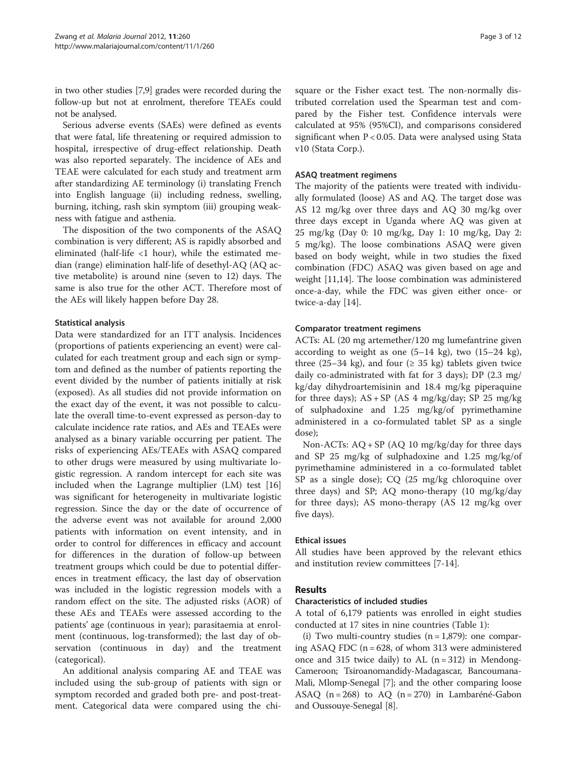in two other studies [[7,9](#page-10-0)] grades were recorded during the follow-up but not at enrolment, therefore TEAEs could not be analysed.

Serious adverse events (SAEs) were defined as events that were fatal, life threatening or required admission to hospital, irrespective of drug-effect relationship. Death was also reported separately. The incidence of AEs and TEAE were calculated for each study and treatment arm after standardizing AE terminology (i) translating French into English language (ii) including redness, swelling, burning, itching, rash skin symptom (iii) grouping weakness with fatigue and asthenia.

The disposition of the two components of the ASAQ combination is very different; AS is rapidly absorbed and eliminated (half-life <1 hour), while the estimated median (range) elimination half-life of desethyl-AQ (AQ active metabolite) is around nine (seven to 12) days. The same is also true for the other ACT. Therefore most of the AEs will likely happen before Day 28.

## Statistical analysis

Data were standardized for an ITT analysis. Incidences (proportions of patients experiencing an event) were calculated for each treatment group and each sign or symptom and defined as the number of patients reporting the event divided by the number of patients initially at risk (exposed). As all studies did not provide information on the exact day of the event, it was not possible to calculate the overall time-to-event expressed as person-day to calculate incidence rate ratios, and AEs and TEAEs were analysed as a binary variable occurring per patient. The risks of experiencing AEs/TEAEs with ASAQ compared to other drugs were measured by using multivariate logistic regression. A random intercept for each site was included when the Lagrange multiplier (LM) test [[16](#page-11-0)] was significant for heterogeneity in multivariate logistic regression. Since the day or the date of occurrence of the adverse event was not available for around 2,000 patients with information on event intensity, and in order to control for differences in efficacy and account for differences in the duration of follow-up between treatment groups which could be due to potential differences in treatment efficacy, the last day of observation was included in the logistic regression models with a random effect on the site. The adjusted risks (AOR) of these AEs and TEAEs were assessed according to the patients' age (continuous in year); parasitaemia at enrolment (continuous, log-transformed); the last day of observation (continuous in day) and the treatment (categorical).

An additional analysis comparing AE and TEAE was included using the sub-group of patients with sign or symptom recorded and graded both pre- and post-treatment. Categorical data were compared using the chisquare or the Fisher exact test. The non-normally distributed correlation used the Spearman test and compared by the Fisher test. Confidence intervals were calculated at 95% (95%CI), and comparisons considered significant when P < 0.05. Data were analysed using Stata v10 (Stata Corp.).

#### ASAQ treatment regimens

The majority of the patients were treated with individually formulated (loose) AS and AQ. The target dose was AS 12 mg/kg over three days and AQ 30 mg/kg over three days except in Uganda where AQ was given at 25 mg/kg (Day 0: 10 mg/kg, Day 1: 10 mg/kg, Day 2: 5 mg/kg). The loose combinations ASAQ were given based on body weight, while in two studies the fixed combination (FDC) ASAQ was given based on age and weight [\[11](#page-10-0)[,14\]](#page-11-0). The loose combination was administered once-a-day, while the FDC was given either once- or twice-a-day [[14\]](#page-11-0).

#### Comparator treatment regimens

ACTs: AL (20 mg artemether/120 mg lumefantrine given according to weight as one  $(5-14 \text{ kg})$ , two  $(15-24 \text{ kg})$ , three (25–34 kg), and four ( $\geq$  35 kg) tablets given twice daily co-administrated with fat for 3 days); DP (2.3 mg/ kg/day dihydroartemisinin and 18.4 mg/kg piperaquine for three days);  $AS + SP$  (AS 4 mg/kg/day; SP 25 mg/kg of sulphadoxine and 1.25 mg/kg/of pyrimethamine administered in a co-formulated tablet SP as a single dose);

Non-ACTs: AQ + SP (AQ 10 mg/kg/day for three days and SP 25 mg/kg of sulphadoxine and 1.25 mg/kg/of pyrimethamine administered in a co-formulated tablet SP as a single dose); CQ (25 mg/kg chloroquine over three days) and SP; AQ mono-therapy (10 mg/kg/day for three days); AS mono-therapy (AS 12 mg/kg over five days).

#### Ethical issues

All studies have been approved by the relevant ethics and institution review committees [[7-](#page-10-0)[14](#page-11-0)].

#### Results

#### Characteristics of included studies

A total of 6,179 patients was enrolled in eight studies conducted at 17 sites in nine countries (Table [1\)](#page-3-0):

(i) Two multi-country studies  $(n = 1,879)$ : one comparing ASAQ FDC (n = 628, of whom 313 were administered once and 315 twice daily) to AL  $(n=312)$  in Mendong-Cameroon; Tsiroanomandidy-Madagascar, Bancoumana-Mali, Mlomp-Senegal [\[7](#page-10-0)]; and the other comparing loose ASAQ  $(n = 268)$  to AQ  $(n = 270)$  in Lambaréné-Gabon and Oussouye-Senegal [[8\]](#page-10-0).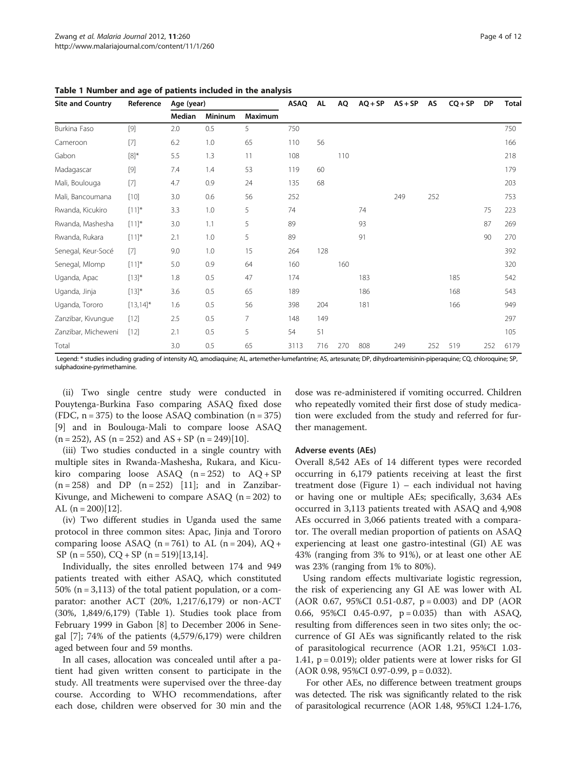| <b>Site and Country</b> | Reference   | Age (year) |         |                | ASAQ | <b>AL</b> | AQ  | $AQ + SP$ | $AS + SP$ | AS  | $CQ + SP$ | <b>DP</b> | Total |
|-------------------------|-------------|------------|---------|----------------|------|-----------|-----|-----------|-----------|-----|-----------|-----------|-------|
|                         |             | Median     | Mininum | <b>Maximum</b> |      |           |     |           |           |     |           |           |       |
| Burkina Faso            | $[9]$       | 2.0        | 0.5     | 5              | 750  |           |     |           |           |     |           |           | 750   |
| Cameroon                | $[7]$       | 6.2        | 1.0     | 65             | 110  | 56        |     |           |           |     |           |           | 166   |
| Gabon                   | $[8]^*$     | 5.5        | 1.3     | 11             | 108  |           | 110 |           |           |     |           |           | 218   |
| Madagascar              | $[9]$       | 7.4        | 1.4     | 53             | 119  | 60        |     |           |           |     |           |           | 179   |
| Mali, Boulouga          | $[7]$       | 4.7        | 0.9     | 24             | 135  | 68        |     |           |           |     |           |           | 203   |
| Mali, Bancoumana        | $[10]$      | 3.0        | 0.6     | 56             | 252  |           |     |           | 249       | 252 |           |           | 753   |
| Rwanda, Kicukiro        | $[11]^*$    | 3.3        | 1.0     | 5              | 74   |           |     | 74        |           |     |           | 75        | 223   |
| Rwanda, Mashesha        | $[11]^*$    | 3.0        | 1.1     | 5              | 89   |           |     | 93        |           |     |           | 87        | 269   |
| Rwanda, Rukara          | $[11]^*$    | 2.1        | 1.0     | 5              | 89   |           |     | 91        |           |     |           | 90        | 270   |
| Senegal, Keur-Socé      | $[7]$       | 9.0        | 1.0     | 15             | 264  | 128       |     |           |           |     |           |           | 392   |
| Senegal, Mlomp          | $[11]^*$    | 5.0        | 0.9     | 64             | 160  |           | 160 |           |           |     |           |           | 320   |
| Uganda, Apac            | $[13]*$     | 1.8        | 0.5     | 47             | 174  |           |     | 183       |           |     | 185       |           | 542   |
| Uganda, Jinja           | $[13]$ *    | 3.6        | 0.5     | 65             | 189  |           |     | 186       |           |     | 168       |           | 543   |
| Uganda, Tororo          | $[13,14]$ * | 1.6        | 0.5     | 56             | 398  | 204       |     | 181       |           |     | 166       |           | 949   |
| Zanzibar, Kivungue      | $[12]$      | 2.5        | 0.5     | 7              | 148  | 149       |     |           |           |     |           |           | 297   |
| Zanzibar, Micheweni     | $[12]$      | 2.1        | 0.5     | 5              | 54   | 51        |     |           |           |     |           |           | 105   |
| Total                   |             | 3.0        | 0.5     | 65             | 3113 | 716       | 270 | 808       | 249       | 252 | 519       | 252       | 6179  |

<span id="page-3-0"></span>Table 1 Number and age of patients included in the analysis

Legend: \* studies including grading of intensity AQ, amodiaquine; AL, artemether-lumefantrine; AS, artesunate; DP, dihydroartemisinin-piperaquine; CQ, chloroquine; SP, sulphadoxine-pyrimethamine.

(ii) Two single centre study were conducted in Pouytenga-Burkina Faso comparing ASAQ fixed dose (FDC,  $n = 375$ ) to the loose ASAQ combination  $(n = 375)$ ) [[9\]](#page-10-0) and in Boulouga-Mali to compare loose ASAQ  $(n = 252)$ , AS  $(n = 252)$  and AS + SP  $(n = 249)[10]$  $(n = 249)[10]$ .

(iii) Two studies conducted in a single country with multiple sites in Rwanda-Mashesha, Rukara, and Kicukiro comparing loose ASAQ  $(n = 252)$  to  $AQ + SP$  $(n = 258)$  and DP  $(n = 252)$  [[11](#page-10-0)]; and in Zanzibar-Kivunge, and Micheweni to compare ASAQ  $(n = 202)$  to AL  $(n = 200)[12]$  $(n = 200)[12]$ .

(iv) Two different studies in Uganda used the same protocol in three common sites: Apac, Jinja and Tororo comparing loose ASAQ ( $n = 761$ ) to AL ( $n = 204$ ), AQ + SP (n = 550),  $CQ + SP$  (n = 519)[[13,14\]](#page-11-0).

Individually, the sites enrolled between 174 and 949 patients treated with either ASAQ, which constituted 50% ( $n = 3,113$ ) of the total patient population, or a comparator: another ACT (20%, 1,217/6,179) or non-ACT (30%, 1,849/6,179) (Table 1). Studies took place from February 1999 in Gabon [[8\]](#page-10-0) to December 2006 in Senegal [[7\]](#page-10-0); 74% of the patients (4,579/6,179) were children aged between four and 59 months.

In all cases, allocation was concealed until after a patient had given written consent to participate in the study. All treatments were supervised over the three-day course. According to WHO recommendations, after each dose, children were observed for 30 min and the dose was re-administered if vomiting occurred. Children who repeatedly vomited their first dose of study medication were excluded from the study and referred for further management.

#### Adverse events (AEs)

Overall 8,542 AEs of 14 different types were recorded occurring in 6,179 patients receiving at least the first treatment dose (Figure [1](#page-4-0)) – each individual not having or having one or multiple AEs; specifically, 3,634 AEs occurred in 3,113 patients treated with ASAQ and 4,908 AEs occurred in 3,066 patients treated with a comparator. The overall median proportion of patients on ASAQ experiencing at least one gastro-intestinal (GI) AE was 43% (ranging from 3% to 91%), or at least one other AE was 23% (ranging from 1% to 80%).

Using random effects multivariate logistic regression, the risk of experiencing any GI AE was lower with AL (AOR 0.67, 95%CI 0.51-0.87, p = 0.003) and DP (AOR 0.66, 95%CI 0.45-0.97, p = 0.035) than with ASAQ, resulting from differences seen in two sites only; the occurrence of GI AEs was significantly related to the risk of parasitological recurrence (AOR 1.21, 95%CI 1.03- 1.41,  $p = 0.019$ ); older patients were at lower risks for GI (AOR 0.98, 95%CI 0.97-0.99, p = 0.032).

For other AEs, no difference between treatment groups was detected. The risk was significantly related to the risk of parasitological recurrence (AOR 1.48, 95%CI 1.24-1.76,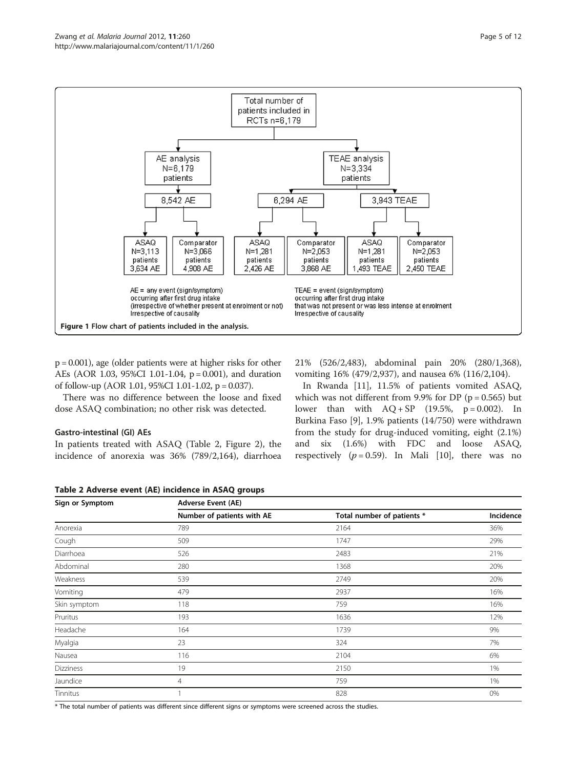<span id="page-4-0"></span>

p = 0.001), age (older patients were at higher risks for other AEs (AOR 1.03, 95%CI 1.01-1.04, p = 0.001), and duration of follow-up (AOR 1.01, 95%CI 1.01-1.02, p = 0.037).

There was no difference between the loose and fixed dose ASAQ combination; no other risk was detected.

## Gastro-intestinal (GI) AEs

In patients treated with ASAQ (Table 2, Figure [2](#page-5-0)), the incidence of anorexia was 36% (789/2,164), diarrhoea

Table 2 Adverse event (AE) incidence in ASAQ groups

21% (526/2,483), abdominal pain 20% (280/1,368), vomiting 16% (479/2,937), and nausea 6% (116/2,104).

In Rwanda [[11](#page-10-0)], 11.5% of patients vomited ASAQ, which was not different from 9.9% for DP ( $p = 0.565$ ) but lower than with  $AQ + SP$  (19.5%,  $p = 0.002$ ). In Burkina Faso [[9](#page-10-0)], 1.9% patients (14/750) were withdrawn from the study for drug-induced vomiting, eight (2.1%) and six (1.6%) with FDC and loose ASAQ, respectively  $(p = 0.59)$ . In Mali [\[10](#page-10-0)], there was no

| Sign or Symptom  | <b>Adverse Event (AE)</b>  |                            |           |  |  |  |  |
|------------------|----------------------------|----------------------------|-----------|--|--|--|--|
|                  | Number of patients with AE | Total number of patients * | Incidence |  |  |  |  |
| Anorexia         | 789                        | 2164                       | 36%       |  |  |  |  |
| Cough            | 509                        | 1747                       | 29%       |  |  |  |  |
| Diarrhoea        | 526                        | 2483                       | 21%       |  |  |  |  |
| Abdominal        | 280                        | 1368                       | 20%       |  |  |  |  |
| Weakness         | 539                        | 2749                       | 20%       |  |  |  |  |
| Vomiting         | 479                        | 2937                       | 16%       |  |  |  |  |
| Skin symptom     | 118                        | 759                        | 16%       |  |  |  |  |
| Pruritus         | 193                        | 1636                       | 12%       |  |  |  |  |
| Headache         | 164                        | 1739                       | 9%        |  |  |  |  |
| Myalgia          | 23                         | 324                        | 7%        |  |  |  |  |
| Nausea           | 116                        | 2104                       | 6%        |  |  |  |  |
| <b>Dizziness</b> | 19                         | 2150                       | 1%        |  |  |  |  |
| Jaundice         | 4                          | 759                        | 1%        |  |  |  |  |
| Tinnitus         | 1                          | 828                        | 0%        |  |  |  |  |

\* The total number of patients was different since different signs or symptoms were screened across the studies.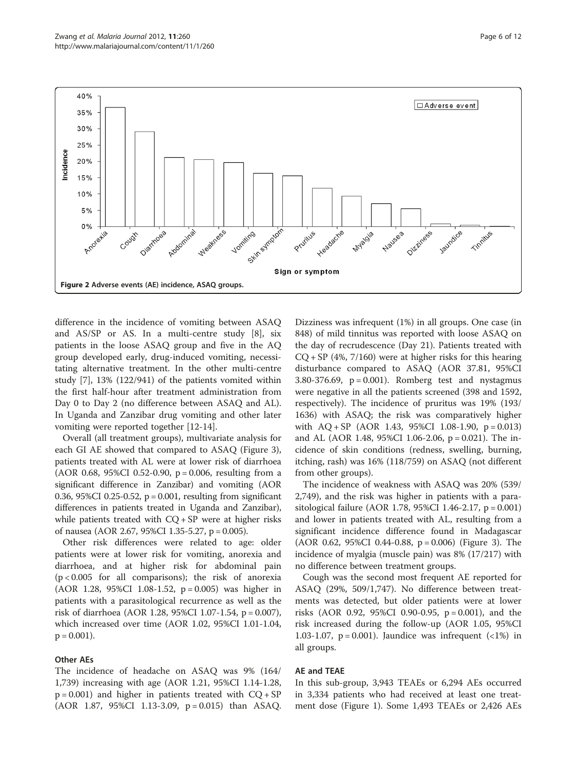<span id="page-5-0"></span>

difference in the incidence of vomiting between ASAQ and AS/SP or AS. In a multi-centre study [[8](#page-10-0)], six patients in the loose ASAQ group and five in the AQ group developed early, drug-induced vomiting, necessitating alternative treatment. In the other multi-centre study [[7](#page-10-0)], 13% (122/941) of the patients vomited within the first half-hour after treatment administration from Day 0 to Day 2 (no difference between ASAQ and AL). In Uganda and Zanzibar drug vomiting and other later vomiting were reported together [[12-14](#page-11-0)].

Overall (all treatment groups), multivariate analysis for each GI AE showed that compared to ASAQ (Figure [3](#page-6-0)), patients treated with AL were at lower risk of diarrhoea (AOR 0.68, 95%CI 0.52-0.90,  $p = 0.006$ , resulting from a significant difference in Zanzibar) and vomiting (AOR 0.36, 95%CI 0.25-0.52, p = 0.001, resulting from significant differences in patients treated in Uganda and Zanzibar), while patients treated with  $CQ + SP$  were at higher risks of nausea (AOR 2.67, 95%CI 1.35-5.27, p = 0.005).

Other risk differences were related to age: older patients were at lower risk for vomiting, anorexia and diarrhoea, and at higher risk for abdominal pain  $(p < 0.005$  for all comparisons); the risk of anorexia (AOR 1.28, 95%CI 1.08-1.52, p = 0.005) was higher in patients with a parasitological recurrence as well as the risk of diarrhoea (AOR 1.28, 95%CI 1.07-1.54, p = 0.007), which increased over time (AOR 1.02, 95%CI 1.01-1.04,  $p = 0.001$ ).

## Other AEs

The incidence of headache on ASAQ was 9% (164/ 1,739) increasing with age (AOR 1.21, 95%CI 1.14-1.28,  $p = 0.001$ ) and higher in patients treated with  $CQ + SP$ (AOR 1.87, 95%CI 1.13-3.09, p = 0.015) than ASAQ.

Dizziness was infrequent (1%) in all groups. One case (in 848) of mild tinnitus was reported with loose ASAQ on the day of recrudescence (Day 21). Patients treated with  $CQ + SP$  (4%, 7/160) were at higher risks for this hearing disturbance compared to ASAQ (AOR 37.81, 95%CI 3.80-376.69, p = 0.001). Romberg test and nystagmus were negative in all the patients screened (398 and 1592, respectively). The incidence of pruritus was 19% (193/ 1636) with ASAQ; the risk was comparatively higher with  $AQ + SP$  (AOR 1.43, 95%CI 1.08-1.90,  $p = 0.013$ ) and AL (AOR 1.48, 95%CI 1.06-2.06, p = 0.021). The incidence of skin conditions (redness, swelling, burning, itching, rash) was 16% (118/759) on ASAQ (not different from other groups).

The incidence of weakness with ASAQ was 20% (539/ 2,749), and the risk was higher in patients with a parasitological failure (AOR 1.78, 95%CI 1.46-2.17, p = 0.001) and lower in patients treated with AL, resulting from a significant incidence difference found in Madagascar (AOR 0.62, 95%CI 0.44-0.88, p = 0.006) (Figure [3\)](#page-6-0). The incidence of myalgia (muscle pain) was 8% (17/217) with no difference between treatment groups.

Cough was the second most frequent AE reported for ASAQ (29%, 509/1,747). No difference between treatments was detected, but older patients were at lower risks (AOR 0.92, 95%CI 0.90-0.95,  $p = 0.001$ ), and the risk increased during the follow-up (AOR 1.05, 95%CI 1.03-1.07,  $p = 0.001$ ). Jaundice was infrequent (<1%) in all groups.

#### AE and TEAE

In this sub-group, 3,943 TEAEs or 6,294 AEs occurred in 3,334 patients who had received at least one treatment dose (Figure [1\)](#page-4-0). Some 1,493 TEAEs or 2,426 AEs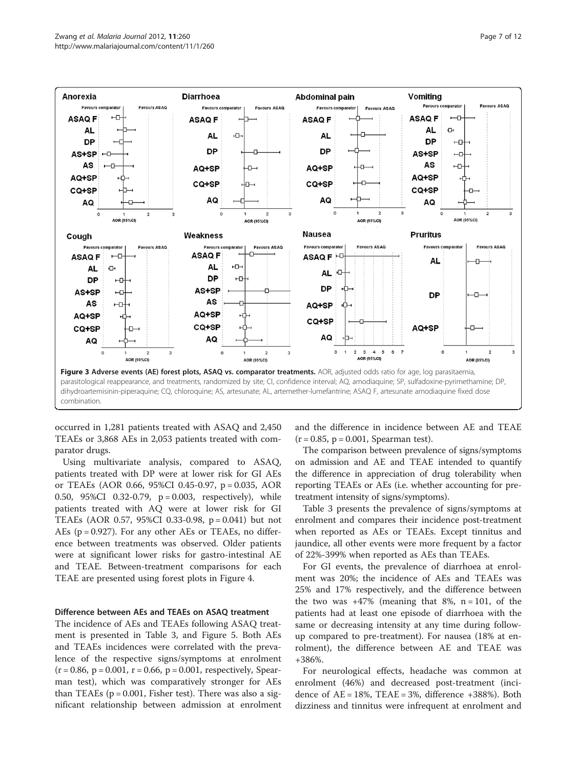

<span id="page-6-0"></span>

occurred in 1,281 patients treated with ASAQ and 2,450 TEAEs or 3,868 AEs in 2,053 patients treated with comparator drugs.

Using multivariate analysis, compared to ASAQ, patients treated with DP were at lower risk for GI AEs or TEAEs (AOR 0.66, 95%CI 0.45-0.97, p = 0.035, AOR 0.50, 95%CI 0.32-0.79, p = 0.003, respectively), while patients treated with AQ were at lower risk for GI TEAEs (AOR 0.57, 95%CI 0.33-0.98, p = 0.041) but not AEs ( $p = 0.927$ ). For any other AEs or TEAEs, no difference between treatments was observed. Older patients were at significant lower risks for gastro-intestinal AE and TEAE. Between-treatment comparisons for each TEAE are presented using forest plots in Figure [4.](#page-7-0)

# Difference between AEs and TEAEs on ASAQ treatment

The incidence of AEs and TEAEs following ASAQ treatment is presented in Table [3,](#page-7-0) and Figure [5](#page-8-0). Both AEs and TEAEs incidences were correlated with the prevalence of the respective signs/symptoms at enrolment  $(r = 0.86, p = 0.001, r = 0.66, p = 0.001, respectively.$  Spearman test), which was comparatively stronger for AEs than TEAEs ( $p = 0.001$ , Fisher test). There was also a significant relationship between admission at enrolment and the difference in incidence between AE and TEAE  $(r = 0.85, p = 0.001,$  Spearman test).

The comparison between prevalence of signs/symptoms on admission and AE and TEAE intended to quantify the difference in appreciation of drug tolerability when reporting TEAEs or AEs (i.e. whether accounting for pretreatment intensity of signs/symptoms).

Table [3](#page-7-0) presents the prevalence of signs/symptoms at enrolment and compares their incidence post-treatment when reported as AEs or TEAEs. Except tinnitus and jaundice, all other events were more frequent by a factor of 22%-399% when reported as AEs than TEAEs.

For GI events, the prevalence of diarrhoea at enrolment was 20%; the incidence of AEs and TEAEs was 25% and 17% respectively, and the difference between the two was  $+47\%$  (meaning that 8%, n = 101, of the patients had at least one episode of diarrhoea with the same or decreasing intensity at any time during followup compared to pre-treatment). For nausea (18% at enrolment), the difference between AE and TEAE was +386%.

For neurological effects, headache was common at enrolment (46%) and decreased post-treatment (incidence of  $AE = 18\%$ ,  $TEAE = 3\%$ , difference  $+388\%$ ). Both dizziness and tinnitus were infrequent at enrolment and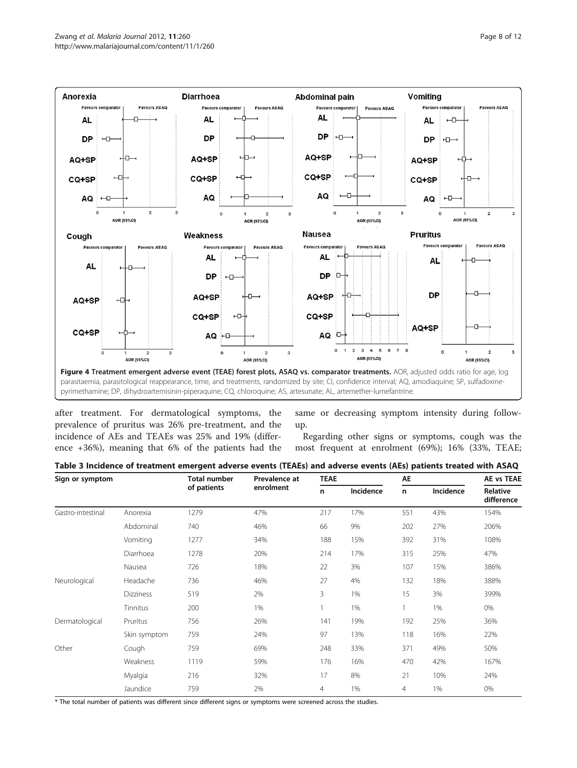<span id="page-7-0"></span>

after treatment. For dermatological symptoms, the prevalence of pruritus was 26% pre-treatment, and the incidence of AEs and TEAEs was 25% and 19% (difference +36%), meaning that 6% of the patients had the

same or decreasing symptom intensity during followup.

Regarding other signs or symptoms, cough was the most frequent at enrolment (69%); 16% (33%, TEAE;

| Sign or symptom   |                  | <b>Total number</b> | Prevalence at | <b>TEAE</b>    |     | <b>AE</b>      |           | AE vs TEAE             |  |
|-------------------|------------------|---------------------|---------------|----------------|-----|----------------|-----------|------------------------|--|
|                   |                  | of patients         | enrolment     | Incidence<br>n |     | n              | Incidence | Relative<br>difference |  |
| Gastro-intestinal | Anorexia         | 1279                | 47%           | 217            | 17% | 551            | 43%       | 154%                   |  |
|                   | Abdominal        | 740                 | 46%           | 66             | 9%  | 202            | 27%       | 206%                   |  |
|                   | Vomiting         | 1277                | 34%           | 188            | 15% | 392            | 31%       | 108%                   |  |
|                   | Diarrhoea        | 1278                | 20%           | 214            | 17% | 315            | 25%       | 47%                    |  |
|                   | Nausea           | 726                 | 18%           | 22             | 3%  | 107            | 15%       | 386%                   |  |
| Neurological      | Headache         | 736                 | 46%           | 27             | 4%  | 132            | 18%       | 388%                   |  |
|                   | <b>Dizziness</b> | 519                 | 2%            | 3              | 1%  | 15             | 3%        | 399%                   |  |
|                   | Tinnitus         | 200                 | 1%            |                | 1%  |                | 1%        | 0%                     |  |
| Dermatological    | Pruritus         | 756                 | 26%           | 141            | 19% | 192            | 25%       | 36%                    |  |
|                   | Skin symptom     | 759                 | 24%           | 97             | 13% | 118            | 16%       | 22%                    |  |
| Other             | Cough            | 759                 | 69%           | 248            | 33% | 371            | 49%       | 50%                    |  |
|                   | Weakness         | 1119                | 59%           | 176            | 16% | 470            | 42%       | 167%                   |  |
|                   | Myalgia          | 216                 | 32%           | 17             | 8%  | 21             | 10%       | 24%                    |  |
|                   | Jaundice         | 759                 | 2%            | $\overline{4}$ | 1%  | $\overline{4}$ | 1%        | 0%                     |  |

\* The total number of patients was different since different signs or symptoms were screened across the studies.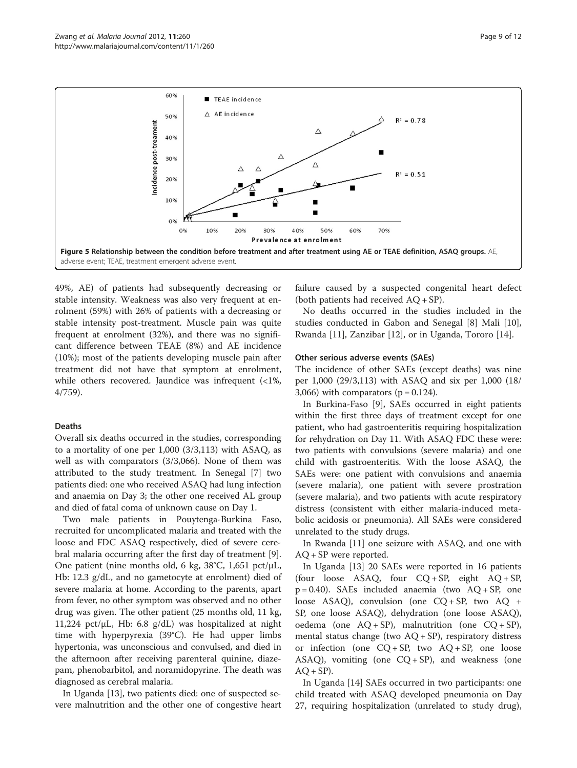<span id="page-8-0"></span>

49%, AE) of patients had subsequently decreasing or stable intensity. Weakness was also very frequent at enrolment (59%) with 26% of patients with a decreasing or stable intensity post-treatment. Muscle pain was quite frequent at enrolment (32%), and there was no significant difference between TEAE (8%) and AE incidence (10%); most of the patients developing muscle pain after treatment did not have that symptom at enrolment, while others recovered. Jaundice was infrequent (<1%, 4/759).

#### Deaths

Overall six deaths occurred in the studies, corresponding to a mortality of one per 1,000 (3/3,113) with ASAQ, as well as with comparators (3/3,066). None of them was attributed to the study treatment. In Senegal [\[7\]](#page-10-0) two patients died: one who received ASAQ had lung infection and anaemia on Day 3; the other one received AL group and died of fatal coma of unknown cause on Day 1.

Two male patients in Pouytenga-Burkina Faso, recruited for uncomplicated malaria and treated with the loose and FDC ASAQ respectively, died of severe cerebral malaria occurring after the first day of treatment [\[9](#page-10-0)]. One patient (nine months old, 6 kg, 38°C, 1,651 pct/μL, Hb: 12.3 g/dL, and no gametocyte at enrolment) died of severe malaria at home. According to the parents, apart from fever, no other symptom was observed and no other drug was given. The other patient (25 months old, 11 kg, 11,224 pct/ $\mu$ L, Hb: 6.8 g/dL) was hospitalized at night time with hyperpyrexia (39°C). He had upper limbs hypertonia, was unconscious and convulsed, and died in the afternoon after receiving parenteral quinine, diazepam, phenobarbitol, and noramidopyrine. The death was diagnosed as cerebral malaria.

In Uganda [[13](#page-11-0)], two patients died: one of suspected severe malnutrition and the other one of congestive heart failure caused by a suspected congenital heart defect (both patients had received AQ + SP).

No deaths occurred in the studies included in the studies conducted in Gabon and Senegal [\[8](#page-10-0)] Mali [\[10](#page-10-0)], Rwanda [\[11\]](#page-10-0), Zanzibar [[12](#page-11-0)], or in Uganda, Tororo [[14](#page-11-0)].

#### Other serious adverse events (SAEs)

The incidence of other SAEs (except deaths) was nine per 1,000 (29/3,113) with ASAQ and six per 1,000 (18/ 3,066) with comparators  $(p = 0.124)$ .

In Burkina-Faso [[9\]](#page-10-0), SAEs occurred in eight patients within the first three days of treatment except for one patient, who had gastroenteritis requiring hospitalization for rehydration on Day 11. With ASAQ FDC these were: two patients with convulsions (severe malaria) and one child with gastroenteritis. With the loose ASAQ, the SAEs were: one patient with convulsions and anaemia (severe malaria), one patient with severe prostration (severe malaria), and two patients with acute respiratory distress (consistent with either malaria-induced metabolic acidosis or pneumonia). All SAEs were considered unrelated to the study drugs.

In Rwanda [[11\]](#page-10-0) one seizure with ASAQ, and one with AQ + SP were reported.

In Uganda [\[13](#page-11-0)] 20 SAEs were reported in 16 patients (four loose ASAQ, four  $CQ + SP$ , eight  $AQ + SP$ , p = 0.40). SAEs included anaemia (two AQ + SP, one loose ASAQ), convulsion (one  $CQ + SP$ , two AQ + SP, one loose ASAQ), dehydration (one loose ASAQ), oedema (one  $AQ + SP$ ), malnutrition (one  $CQ + SP$ ), mental status change (two  $AQ + SP$ ), respiratory distress or infection (one CQ + SP, two AQ + SP, one loose ASAQ), vomiting (one  $CQ + SP$ ), and weakness (one  $AQ + SP$ ).

In Uganda [[14\]](#page-11-0) SAEs occurred in two participants: one child treated with ASAQ developed pneumonia on Day 27, requiring hospitalization (unrelated to study drug),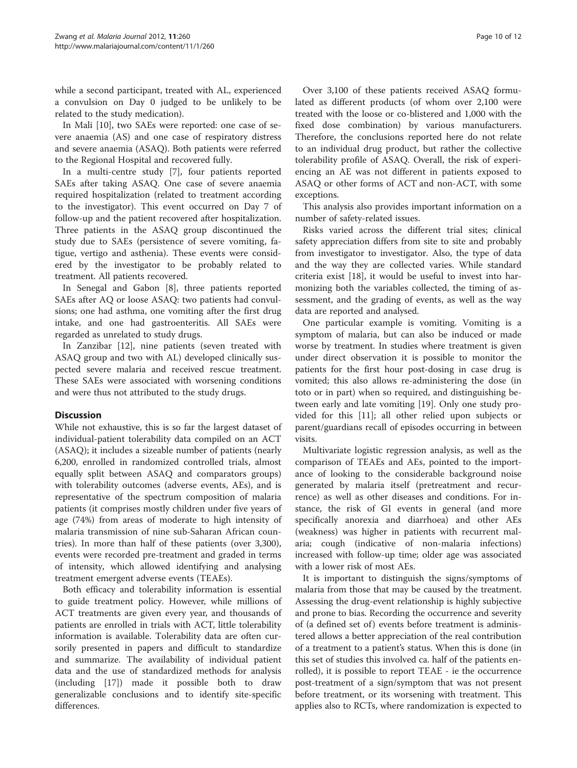while a second participant, treated with AL, experienced a convulsion on Day 0 judged to be unlikely to be related to the study medication).

In Mali [\[10](#page-10-0)], two SAEs were reported: one case of severe anaemia (AS) and one case of respiratory distress and severe anaemia (ASAQ). Both patients were referred to the Regional Hospital and recovered fully.

In a multi-centre study [[7\]](#page-10-0), four patients reported SAEs after taking ASAQ. One case of severe anaemia required hospitalization (related to treatment according to the investigator). This event occurred on Day 7 of follow-up and the patient recovered after hospitalization. Three patients in the ASAQ group discontinued the study due to SAEs (persistence of severe vomiting, fatigue, vertigo and asthenia). These events were considered by the investigator to be probably related to treatment. All patients recovered.

In Senegal and Gabon [\[8\]](#page-10-0), three patients reported SAEs after AQ or loose ASAQ: two patients had convulsions; one had asthma, one vomiting after the first drug intake, and one had gastroenteritis. All SAEs were regarded as unrelated to study drugs.

In Zanzibar [\[12](#page-11-0)], nine patients (seven treated with ASAQ group and two with AL) developed clinically suspected severe malaria and received rescue treatment. These SAEs were associated with worsening conditions and were thus not attributed to the study drugs.

# **Discussion**

While not exhaustive, this is so far the largest dataset of individual-patient tolerability data compiled on an ACT (ASAQ); it includes a sizeable number of patients (nearly 6,200, enrolled in randomized controlled trials, almost equally split between ASAQ and comparators groups) with tolerability outcomes (adverse events, AEs), and is representative of the spectrum composition of malaria patients (it comprises mostly children under five years of age (74%) from areas of moderate to high intensity of malaria transmission of nine sub-Saharan African countries). In more than half of these patients (over 3,300), events were recorded pre-treatment and graded in terms of intensity, which allowed identifying and analysing treatment emergent adverse events (TEAEs).

Both efficacy and tolerability information is essential to guide treatment policy. However, while millions of ACT treatments are given every year, and thousands of patients are enrolled in trials with ACT, little tolerability information is available. Tolerability data are often cursorily presented in papers and difficult to standardize and summarize. The availability of individual patient data and the use of standardized methods for analysis (including [[17](#page-11-0)]) made it possible both to draw generalizable conclusions and to identify site-specific differences.

Over 3,100 of these patients received ASAQ formulated as different products (of whom over 2,100 were treated with the loose or co-blistered and 1,000 with the fixed dose combination) by various manufacturers. Therefore, the conclusions reported here do not relate to an individual drug product, but rather the collective tolerability profile of ASAQ. Overall, the risk of experiencing an AE was not different in patients exposed to ASAQ or other forms of ACT and non-ACT, with some exceptions.

This analysis also provides important information on a number of safety-related issues.

Risks varied across the different trial sites; clinical safety appreciation differs from site to site and probably from investigator to investigator. Also, the type of data and the way they are collected varies. While standard criteria exist [\[18\]](#page-11-0), it would be useful to invest into harmonizing both the variables collected, the timing of assessment, and the grading of events, as well as the way data are reported and analysed.

One particular example is vomiting. Vomiting is a symptom of malaria, but can also be induced or made worse by treatment. In studies where treatment is given under direct observation it is possible to monitor the patients for the first hour post-dosing in case drug is vomited; this also allows re-administering the dose (in toto or in part) when so required, and distinguishing between early and late vomiting [[19\]](#page-11-0). Only one study provided for this [\[11\]](#page-10-0); all other relied upon subjects or parent/guardians recall of episodes occurring in between visits.

Multivariate logistic regression analysis, as well as the comparison of TEAEs and AEs, pointed to the importance of looking to the considerable background noise generated by malaria itself (pretreatment and recurrence) as well as other diseases and conditions. For instance, the risk of GI events in general (and more specifically anorexia and diarrhoea) and other AEs (weakness) was higher in patients with recurrent malaria; cough (indicative of non-malaria infections) increased with follow-up time; older age was associated with a lower risk of most AEs.

It is important to distinguish the signs/symptoms of malaria from those that may be caused by the treatment. Assessing the drug-event relationship is highly subjective and prone to bias. Recording the occurrence and severity of (a defined set of) events before treatment is administered allows a better appreciation of the real contribution of a treatment to a patient's status. When this is done (in this set of studies this involved ca. half of the patients enrolled), it is possible to report TEAE - ie the occurrence post-treatment of a sign/symptom that was not present before treatment, or its worsening with treatment. This applies also to RCTs, where randomization is expected to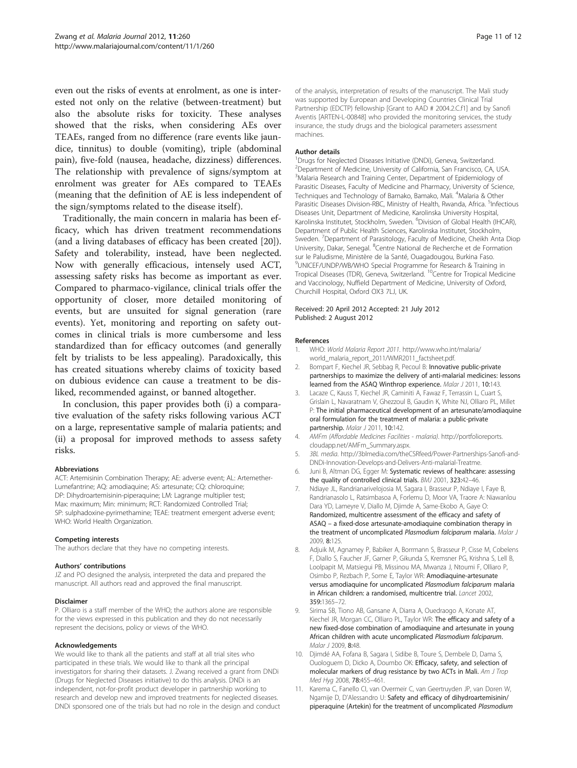<span id="page-10-0"></span>even out the risks of events at enrolment, as one is interested not only on the relative (between-treatment) but also the absolute risks for toxicity. These analyses showed that the risks, when considering AEs over TEAEs, ranged from no difference (rare events like jaundice, tinnitus) to double (vomiting), triple (abdominal pain), five-fold (nausea, headache, dizziness) differences. The relationship with prevalence of signs/symptom at enrolment was greater for AEs compared to TEAEs (meaning that the definition of AE is less independent of the sign/symptoms related to the disease itself ).

Traditionally, the main concern in malaria has been efficacy, which has driven treatment recommendations (and a living databases of efficacy has been created [\[20](#page-11-0)]). Safety and tolerability, instead, have been neglected. Now with generally efficacious, intensely used ACT, assessing safety risks has become as important as ever. Compared to pharmaco-vigilance, clinical trials offer the opportunity of closer, more detailed monitoring of events, but are unsuited for signal generation (rare events). Yet, monitoring and reporting on safety outcomes in clinical trials is more cumbersome and less standardized than for efficacy outcomes (and generally felt by trialists to be less appealing). Paradoxically, this has created situations whereby claims of toxicity based on dubious evidence can cause a treatment to be disliked, recommended against, or banned altogether.

In conclusion, this paper provides both (i) a comparative evaluation of the safety risks following various ACT on a large, representative sample of malaria patients; and (ii) a proposal for improved methods to assess safety risks.

#### Abbreviations

ACT: Artemisinin Combination Therapy; AE: adverse event; AL: Artemether-Lumefantrine; AQ: amodiaquine; AS: artesunate; CQ: chloroquine; DP: Dihydroartemisinin-piperaquine; LM: Lagrange multiplier test; Max: maximum; Min: minimum; RCT: Randomized Controlled Trial; SP: sulphadoxine-pyrimethamine; TEAE: treatment emergent adverse event; WHO: World Health Organization.

#### Competing interests

The authors declare that they have no competing interests.

#### Authors' contributions

JZ and PO designed the analysis, interpreted the data and prepared the manuscript. All authors read and approved the final manuscript.

#### Disclaimer

P. Olliaro is a staff member of the WHO; the authors alone are responsible for the views expressed in this publication and they do not necessarily represent the decisions, policy or views of the WHO.

#### Acknowledgements

We would like to thank all the patients and staff at all trial sites who participated in these trials. We would like to thank all the principal investigators for sharing their datasets. J. Zwang received a grant from DNDi (Drugs for Neglected Diseases initiative) to do this analysis. DNDi is an independent, not-for-profit product developer in partnership working to research and develop new and improved treatments for neglected diseases. DNDi sponsored one of the trials but had no role in the design and conduct of the analysis, interpretation of results of the manuscript. The Mali study was supported by European and Developing Countries Clinical Trial Partnership (EDCTP) fellowship [Grant to AAD # 2004.2.C.f1] and by Sanofi Aventis [ARTEN-L-00848] who provided the monitoring services, the study insurance, the study drugs and the biological parameters assessment machines.

#### Author details

<sup>1</sup> Drugs for Neglected Diseases Initiative (DNDi), Geneva, Switzerland <sup>2</sup> Department of Medicine, University of California, San Francisco, CA, USA. <sup>3</sup>Malaria Research and Training Center, Department of Epidemiology of Parasitic Diseases, Faculty of Medicine and Pharmacy, University of Science, Techniques and Technology of Bamako, Bamako, Mali. <sup>4</sup>Malaria & Other Parasitic Diseases Division-RBC, Ministry of Health, Rwanda, Africa. <sup>5</sup>Infectious Diseases Unit, Department of Medicine, Karolinska University Hospital, Karolinska Institutet, Stockholm, Sweden. <sup>6</sup>Division of Global Health (IHCAR), Department of Public Health Sciences, Karolinska Institutet, Stockholm, Sweden. <sup>7</sup>Department of Parasitology, Faculty of Medicine, Cheikh Anta Diop University, Dakar, Senegal. <sup>8</sup>Centre National de Recherche et de Formation sur le Paludisme, Ministère de la Santé, Ouagadougou, Burkina Faso. 9 UNICEF/UNDP/WB/WHO Special Programme for Research & Training in Tropical Diseases (TDR), Geneva, Switzerland. 10Centre for Tropical Medicine and Vaccinology, Nuffield Department of Medicine, University of Oxford, Churchill Hospital, Oxford OX3 7LJ, UK.

#### Received: 20 April 2012 Accepted: 21 July 2012 Published: 2 August 2012

#### References

- 1. WHO: World Malaria Report 2011. [http://www.who.int/malaria/](http://www.who.int/malaria/world_malaria_report_2011/WMR2011_factsheet.pdf) [world\\_malaria\\_report\\_2011/WMR2011\\_factsheet.pdf](http://www.who.int/malaria/world_malaria_report_2011/WMR2011_factsheet.pdf).
- 2. Bompart F, Kiechel JR, Sebbag R, Pecoul B: Innovative public-private partnerships to maximize the delivery of anti-malarial medicines: lessons learned from the ASAQ Winthrop experience. Malar J 2011, 10:143.
- 3. Lacaze C, Kauss T, Kiechel JR, Caminiti A, Fawaz F, Terrassin L, Cuart S, Grislain L, Navaratnam V, Ghezzoul B, Gaudin K, White NJ, Olliaro PL, Millet P: The initial pharmaceutical development of an artesunate/amodiaquine oral formulation for the treatment of malaria: a public-private partnership. Malar J 2011, 10:142.
- 4. AMFm (Affordable Medicines Facilities malaria). [http://portfolioreports.](http://portfolioreports.cloudapp.net/AMFm_Summary.aspx) [cloudapp.net/AMFm\\_Summary.aspx.](http://portfolioreports.cloudapp.net/AMFm_Summary.aspx)
- 5. 3BL media. [http://3blmedia.com/theCSRfeed/Power-Partnerships-Sanofi-and-](http://3blmedia.com/theCSRfeed/Power-Partnerships-Sanofi-and-DNDi-Innovation-Develops-and-Delivers-Anti-malarial-Treatme)[DNDi-Innovation-Develops-and-Delivers-Anti-malarial-Treatme.](http://3blmedia.com/theCSRfeed/Power-Partnerships-Sanofi-and-DNDi-Innovation-Develops-and-Delivers-Anti-malarial-Treatme)
- 6. Juni B, Altman DG, Egger M: Systematic reviews of healthcare: assessing the quality of controlled clinical trials. BMJ 2001, 323:42–46.
- 7. Ndiaye JL, Randrianarivelojosia M, Sagara I, Brasseur P, Ndiaye I, Faye B, Randrianasolo L, Ratsimbasoa A, Forlemu D, Moor VA, Traore A: Niawanlou Dara YD, Lameyre V, Diallo M, Djimde A, Same-Ekobo A, Gaye O: Randomized, multicentre assessment of the efficacy and safety of ASAQ – a fixed-dose artesunate-amodiaquine combination therapy in the treatment of uncomplicated Plasmodium falciparum malaria. Malar J 2009, 8:125.
- 8. Adjuik M, Agnamey P, Babiker A, Borrmann S, Brasseur P, Cisse M, Cobelens F, Diallo S, Faucher JF, Garner P, Gikunda S, Kremsner PG, Krishna S, Lell B, Loolpapit M, Matsiegui PB, Missinou MA, Mwanza J, Ntoumi F, Olliaro P, Osimbo P, Rezbach P, Some E, Taylor WR: Amodiaquine-artesunate versus amodiaquine for uncomplicated Plasmodium falciparum malaria in African children: a randomised, multicentre trial. Lancet 2002, 359:1365–72.
- 9. Sirima SB, Tiono AB, Gansane A, Diarra A, Ouedraogo A, Konate AT, Kiechel JR, Morgan CC, Olliaro PL, Taylor WR: The efficacy and safety of a new fixed-dose combination of amodiaquine and artesunate in young African children with acute uncomplicated Plasmodium falciparum. Malar J 2009, 8:48.
- 10. Djimdé AA, Fofana B, Sagara I, Sidibe B, Toure S, Dembele D, Dama S, Ouologuem D, Dicko A, Doumbo OK: Efficacy, safety, and selection of molecular markers of drug resistance by two ACTs in Mali. Am J Trop Med Hyg 2008, 78:455–461.
- 11. Karema C, Fanello CI, van Overmeir C, van Geertruyden JP, van Doren W, Ngamije D, D'Alessandro U: Safety and efficacy of dihydroartemisinin/ piperaquine (Artekin) for the treatment of uncomplicated Plasmodium